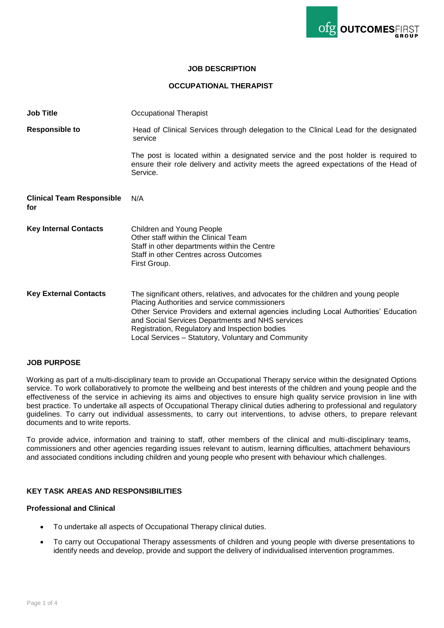

#### **JOB DESCRIPTION**

### **OCCUPATIONAL THERAPIST**

| <b>Job Title</b>                        | Occupational Therapist                                                                                                                                                                                                                                                                                                                                                                   |
|-----------------------------------------|------------------------------------------------------------------------------------------------------------------------------------------------------------------------------------------------------------------------------------------------------------------------------------------------------------------------------------------------------------------------------------------|
| <b>Responsible to</b>                   | Head of Clinical Services through delegation to the Clinical Lead for the designated<br>service                                                                                                                                                                                                                                                                                          |
|                                         | The post is located within a designated service and the post holder is required to<br>ensure their role delivery and activity meets the agreed expectations of the Head of<br>Service.                                                                                                                                                                                                   |
| <b>Clinical Team Responsible</b><br>for | N/A                                                                                                                                                                                                                                                                                                                                                                                      |
| <b>Key Internal Contacts</b>            | Children and Young People<br>Other staff within the Clinical Team<br>Staff in other departments within the Centre<br>Staff in other Centres across Outcomes<br>First Group.                                                                                                                                                                                                              |
| <b>Key External Contacts</b>            | The significant others, relatives, and advocates for the children and young people<br>Placing Authorities and service commissioners<br>Other Service Providers and external agencies including Local Authorities' Education<br>and Social Services Departments and NHS services<br>Registration, Regulatory and Inspection bodies<br>Local Services - Statutory, Voluntary and Community |

#### **JOB PURPOSE**

Working as part of a multi-disciplinary team to provide an Occupational Therapy service within the designated Options service. To work collaboratively to promote the wellbeing and best interests of the children and young people and the effectiveness of the service in achieving its aims and objectives to ensure high quality service provision in line with best practice. To undertake all aspects of Occupational Therapy clinical duties adhering to professional and regulatory guidelines. To carry out individual assessments, to carry out interventions, to advise others, to prepare relevant documents and to write reports.

To provide advice, information and training to staff, other members of the clinical and multi-disciplinary teams, commissioners and other agencies regarding issues relevant to autism, learning difficulties, attachment behaviours and associated conditions including children and young people who present with behaviour which challenges.

## **KEY TASK AREAS AND RESPONSIBILITIES**

#### **Professional and Clinical**

- To undertake all aspects of Occupational Therapy clinical duties.
- To carry out Occupational Therapy assessments of children and young people with diverse presentations to identify needs and develop, provide and support the delivery of individualised intervention programmes.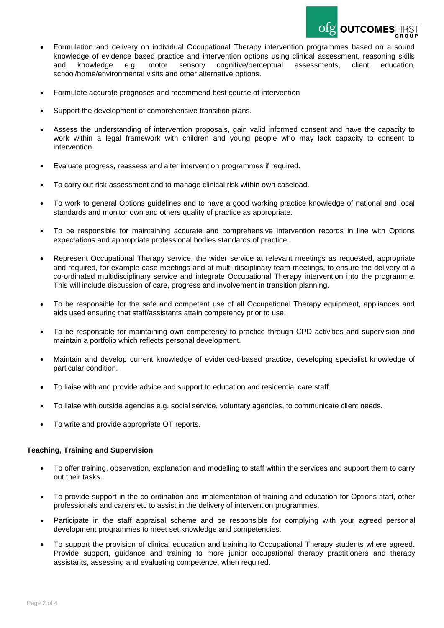

- Formulation and delivery on individual Occupational Therapy intervention programmes based on a sound knowledge of evidence based practice and intervention options using clinical assessment, reasoning skills and knowledge e.g. motor sensory cognitive/perceptual assessments, client education, school/home/environmental visits and other alternative options.
- Formulate accurate prognoses and recommend best course of intervention
- Support the development of comprehensive transition plans.
- Assess the understanding of intervention proposals, gain valid informed consent and have the capacity to work within a legal framework with children and young people who may lack capacity to consent to intervention.
- Evaluate progress, reassess and alter intervention programmes if required.
- To carry out risk assessment and to manage clinical risk within own caseload.
- To work to general Options guidelines and to have a good working practice knowledge of national and local standards and monitor own and others quality of practice as appropriate.
- To be responsible for maintaining accurate and comprehensive intervention records in line with Options expectations and appropriate professional bodies standards of practice.
- Represent Occupational Therapy service, the wider service at relevant meetings as requested, appropriate and required, for example case meetings and at multi-disciplinary team meetings, to ensure the delivery of a co-ordinated multidisciplinary service and integrate Occupational Therapy intervention into the programme. This will include discussion of care, progress and involvement in transition planning.
- To be responsible for the safe and competent use of all Occupational Therapy equipment, appliances and aids used ensuring that staff/assistants attain competency prior to use.
- To be responsible for maintaining own competency to practice through CPD activities and supervision and maintain a portfolio which reflects personal development.
- Maintain and develop current knowledge of evidenced-based practice, developing specialist knowledge of particular condition.
- To liaise with and provide advice and support to education and residential care staff.
- To liaise with outside agencies e.g. social service, voluntary agencies, to communicate client needs.
- To write and provide appropriate OT reports.

# **Teaching, Training and Supervision**

- To offer training, observation, explanation and modelling to staff within the services and support them to carry out their tasks.
- To provide support in the co-ordination and implementation of training and education for Options staff, other professionals and carers etc to assist in the delivery of intervention programmes.
- Participate in the staff appraisal scheme and be responsible for complying with your agreed personal development programmes to meet set knowledge and competencies.
- To support the provision of clinical education and training to Occupational Therapy students where agreed. Provide support, guidance and training to more junior occupational therapy practitioners and therapy assistants, assessing and evaluating competence, when required.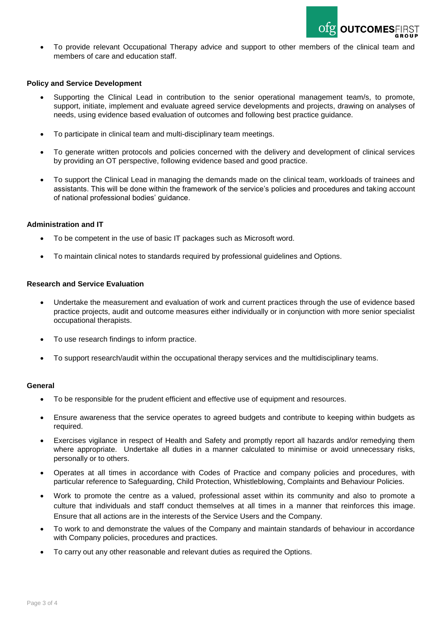

 To provide relevant Occupational Therapy advice and support to other members of the clinical team and members of care and education staff.

#### **Policy and Service Development**

- Supporting the Clinical Lead in contribution to the senior operational management team/s, to promote, support, initiate, implement and evaluate agreed service developments and projects, drawing on analyses of needs, using evidence based evaluation of outcomes and following best practice guidance.
- To participate in clinical team and multi-disciplinary team meetings.
- To generate written protocols and policies concerned with the delivery and development of clinical services by providing an OT perspective, following evidence based and good practice.
- To support the Clinical Lead in managing the demands made on the clinical team, workloads of trainees and assistants. This will be done within the framework of the service's policies and procedures and taking account of national professional bodies' guidance.

### **Administration and IT**

- To be competent in the use of basic IT packages such as Microsoft word.
- To maintain clinical notes to standards required by professional guidelines and Options.

### **Research and Service Evaluation**

- Undertake the measurement and evaluation of work and current practices through the use of evidence based practice projects, audit and outcome measures either individually or in conjunction with more senior specialist occupational therapists.
- To use research findings to inform practice.
- To support research/audit within the occupational therapy services and the multidisciplinary teams.

# **General**

- To be responsible for the prudent efficient and effective use of equipment and resources.
- Ensure awareness that the service operates to agreed budgets and contribute to keeping within budgets as required.
- Exercises vigilance in respect of Health and Safety and promptly report all hazards and/or remedying them where appropriate. Undertake all duties in a manner calculated to minimise or avoid unnecessary risks, personally or to others.
- Operates at all times in accordance with Codes of Practice and company policies and procedures, with particular reference to Safeguarding, Child Protection, Whistleblowing, Complaints and Behaviour Policies.
- Work to promote the centre as a valued, professional asset within its community and also to promote a culture that individuals and staff conduct themselves at all times in a manner that reinforces this image. Ensure that all actions are in the interests of the Service Users and the Company.
- To work to and demonstrate the values of the Company and maintain standards of behaviour in accordance with Company policies, procedures and practices.
- To carry out any other reasonable and relevant duties as required the Options.